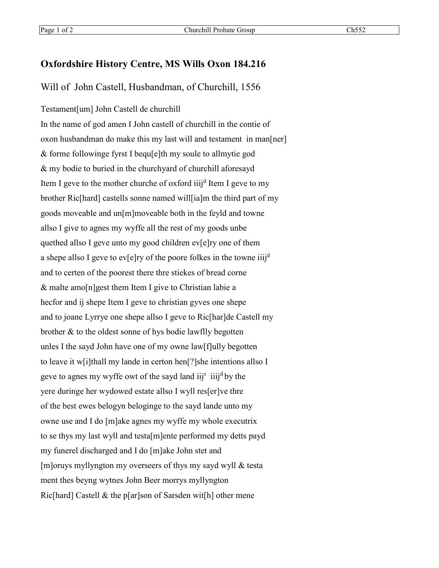## **Oxfordshire History Centre, MS Wills Oxon 184.216**

## Will of John Castell, Husbandman, of Churchill, 1556

Testament[um] John Castell de churchill

In the name of god amen I John castell of churchill in the contie of oxon husbandman do make this my last will and testament in man[ner] & forme followinge fyrst I bequ[e]th my soule to allmytie god & my bodie to buried in the churchyard of churchill aforesayd Item I geve to the mother churche of oxford iiij<sup>d</sup> Item I geve to my brother Ric[hard] castells sonne named will[ia]m the third part of my goods moveable and un[m]moveable both in the feyld and towne allso I give to agnes my wyffe all the rest of my goods unbe quethed allso I geve unto my good children ev[e]ry one of them a shepe allso I geve to ev[e]ry of the poore folkes in the towne iiij<sup>d</sup> and to certen of the poorest there thre stiekes of bread corne & malte amo[n]gest them Item I give to Christian labie a hecfor and ij shepe Item I geve to christian gyves one shepe and to joane Lyrrye one shepe allso I geve to Ric[har]de Castell my brother & to the oldest sonne of hys bodie lawflly begotten unles I the sayd John have one of my owne law[f]ully begotten to leave it w[i]thall my lande in certon hen[?]she intentions allso I geve to agnes my wyffe owt of the sayd land iij<sup>s</sup> iiij<sup>d</sup> by the yere duringe her wydowed estate allso I wyll res[er]ve thre of the best ewes belogyn beloginge to the sayd lande unto my owne use and I do [m]ake agnes my wyffe my whole executrix to se thys my last wyll and testa[m]ente performed my detts payd my funerel discharged and I do [m]ake John stet and [m]oruys myllyngton my overseers of thys my sayd wyll & testa ment thes beyng wytnes John Beer morrys myllyngton Ric[hard] Castell & the p[ar]son of Sarsden wit[h] other mene